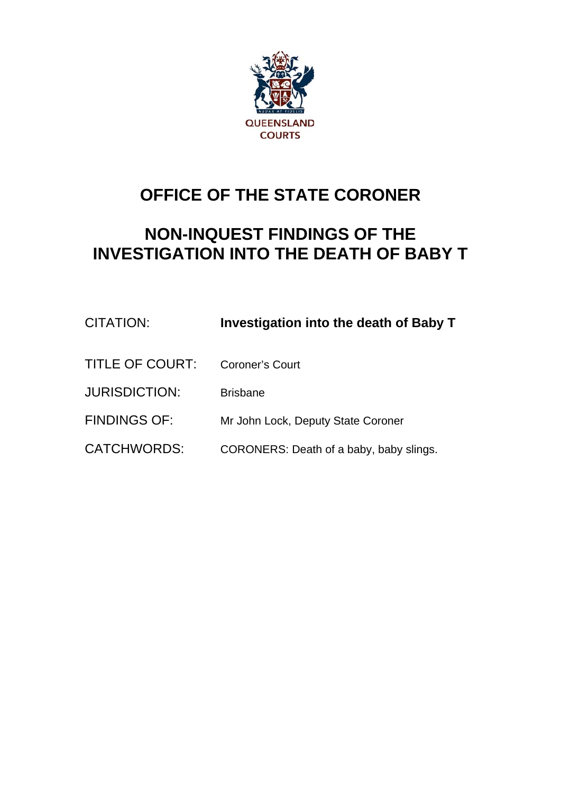

# **OFFICE OF THE STATE CORONER**

# **NON-INQUEST FINDINGS OF THE INVESTIGATION INTO THE DEATH OF BABY T**

| CITATION:            | Investigation into the death of Baby T  |
|----------------------|-----------------------------------------|
| TITLE OF COURT:      | Coroner's Court                         |
| <b>JURISDICTION:</b> | <b>Brisbane</b>                         |
| <b>FINDINGS OF:</b>  | Mr John Lock, Deputy State Coroner      |
| <b>CATCHWORDS:</b>   | CORONERS: Death of a baby, baby slings. |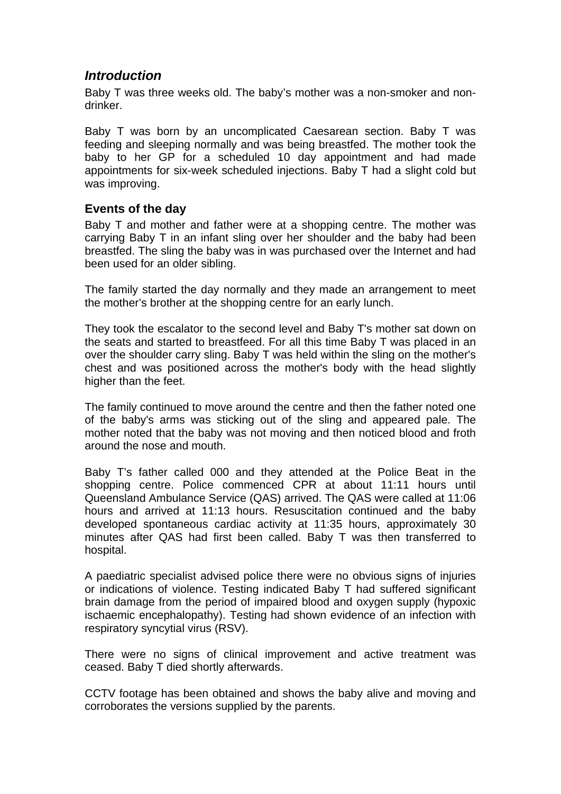# *Introduction*

Baby T was three weeks old. The baby's mother was a non-smoker and nondrinker.

Baby T was born by an uncomplicated Caesarean section. Baby T was feeding and sleeping normally and was being breastfed. The mother took the baby to her GP for a scheduled 10 day appointment and had made appointments for six-week scheduled injections. Baby T had a slight cold but was improving.

#### **Events of the day**

Baby T and mother and father were at a shopping centre. The mother was carrying Baby T in an infant sling over her shoulder and the baby had been breastfed. The sling the baby was in was purchased over the Internet and had been used for an older sibling.

The family started the day normally and they made an arrangement to meet the mother's brother at the shopping centre for an early lunch.

They took the escalator to the second level and Baby T's mother sat down on the seats and started to breastfeed. For all this time Baby T was placed in an over the shoulder carry sling. Baby T was held within the sling on the mother's chest and was positioned across the mother's body with the head slightly higher than the feet.

The family continued to move around the centre and then the father noted one of the baby's arms was sticking out of the sling and appeared pale. The mother noted that the baby was not moving and then noticed blood and froth around the nose and mouth.

Baby T's father called 000 and they attended at the Police Beat in the shopping centre. Police commenced CPR at about 11:11 hours until Queensland Ambulance Service (QAS) arrived. The QAS were called at 11:06 hours and arrived at 11:13 hours. Resuscitation continued and the baby developed spontaneous cardiac activity at 11:35 hours, approximately 30 minutes after QAS had first been called. Baby T was then transferred to hospital.

A paediatric specialist advised police there were no obvious signs of injuries or indications of violence. Testing indicated Baby T had suffered significant brain damage from the period of impaired blood and oxygen supply (hypoxic ischaemic encephalopathy). Testing had shown evidence of an infection with respiratory syncytial virus (RSV).

There were no signs of clinical improvement and active treatment was ceased. Baby T died shortly afterwards.

CCTV footage has been obtained and shows the baby alive and moving and corroborates the versions supplied by the parents.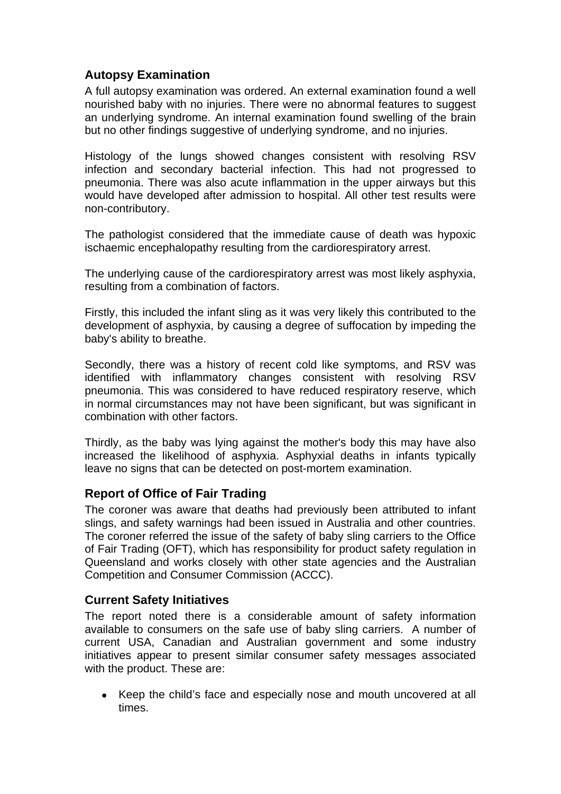# **Autopsy Examination**

A full autopsy examination was ordered. An external examination found a well nourished baby with no injuries. There were no abnormal features to suggest an underlying syndrome. An internal examination found swelling of the brain but no other findings suggestive of underlying syndrome, and no injuries.

Histology of the lungs showed changes consistent with resolving RSV infection and secondary bacterial infection. This had not progressed to pneumonia. There was also acute inflammation in the upper airways but this would have developed after admission to hospital. All other test results were non-contributory.

The pathologist considered that the immediate cause of death was hypoxic ischaemic encephalopathy resulting from the cardiorespiratory arrest.

The underlying cause of the cardiorespiratory arrest was most likely asphyxia, resulting from a combination of factors.

Firstly, this included the infant sling as it was very likely this contributed to the development of asphyxia, by causing a degree of suffocation by impeding the baby's ability to breathe.

Secondly, there was a history of recent cold like symptoms, and RSV was identified with inflammatory changes consistent with resolving RSV pneumonia. This was considered to have reduced respiratory reserve, which in normal circumstances may not have been significant, but was significant in combination with other factors.

Thirdly, as the baby was lying against the mother's body this may have also increased the likelihood of asphyxia. Asphyxial deaths in infants typically leave no signs that can be detected on post-mortem examination.

## **Report of Office of Fair Trading**

The coroner was aware that deaths had previously been attributed to infant slings, and safety warnings had been issued in Australia and other countries. The coroner referred the issue of the safety of baby sling carriers to the Office of Fair Trading (OFT), which has responsibility for product safety regulation in Queensland and works closely with other state agencies and the Australian Competition and Consumer Commission (ACCC).

#### **Current Safety Initiatives**

The report noted there is a considerable amount of safety information available to consumers on the safe use of baby sling carriers. A number of current USA, Canadian and Australian government and some industry initiatives appear to present similar consumer safety messages associated with the product. These are:

 Keep the child's face and especially nose and mouth uncovered at all times.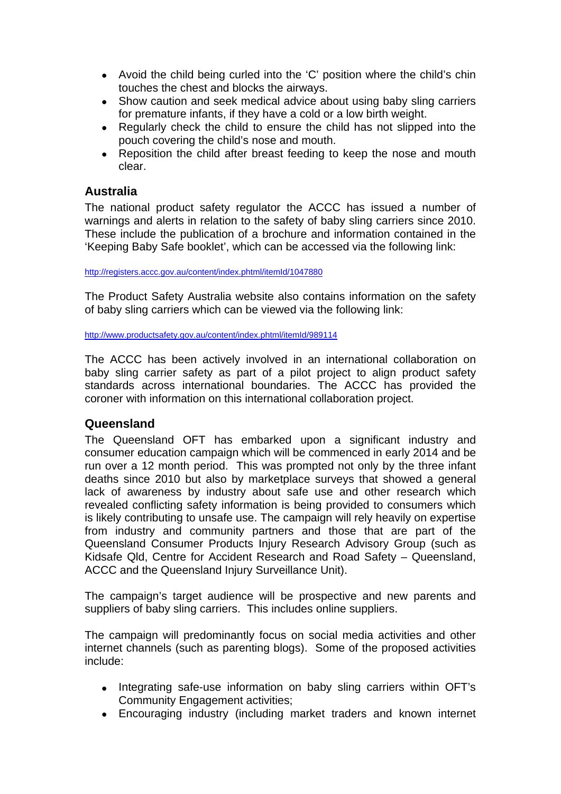- Avoid the child being curled into the 'C' position where the child's chin touches the chest and blocks the airways.
- Show caution and seek medical advice about using baby sling carriers for premature infants, if they have a cold or a low birth weight.
- Regularly check the child to ensure the child has not slipped into the pouch covering the child's nose and mouth.
- Reposition the child after breast feeding to keep the nose and mouth clear.

#### **Australia**

The national product safety regulator the ACCC has issued a number of warnings and alerts in relation to the safety of baby sling carriers since 2010. These include the publication of a brochure and information contained in the 'Keeping Baby Safe booklet', which can be accessed via the following link:

<http://registers.accc.gov.au/content/index.phtml/itemId/1047880>

The Product Safety Australia website also contains information on the safety of baby sling carriers which can be viewed via the following link:

<http://www.productsafety.gov.au/content/index.phtml/itemId/989114>

The ACCC has been actively involved in an international collaboration on baby sling carrier safety as part of a pilot project to align product safety standards across international boundaries. The ACCC has provided the coroner with information on this international collaboration project.

## **Queensland**

The Queensland OFT has embarked upon a significant industry and consumer education campaign which will be commenced in early 2014 and be run over a 12 month period. This was prompted not only by the three infant deaths since 2010 but also by marketplace surveys that showed a general lack of awareness by industry about safe use and other research which revealed conflicting safety information is being provided to consumers which is likely contributing to unsafe use. The campaign will rely heavily on expertise from industry and community partners and those that are part of the Queensland Consumer Products Injury Research Advisory Group (such as Kidsafe Qld, Centre for Accident Research and Road Safety – Queensland, ACCC and the Queensland Injury Surveillance Unit).

The campaign's target audience will be prospective and new parents and suppliers of baby sling carriers. This includes online suppliers.

The campaign will predominantly focus on social media activities and other internet channels (such as parenting blogs). Some of the proposed activities include:

- Integrating safe-use information on baby sling carriers within OFT's Community Engagement activities;
- Encouraging industry (including market traders and known internet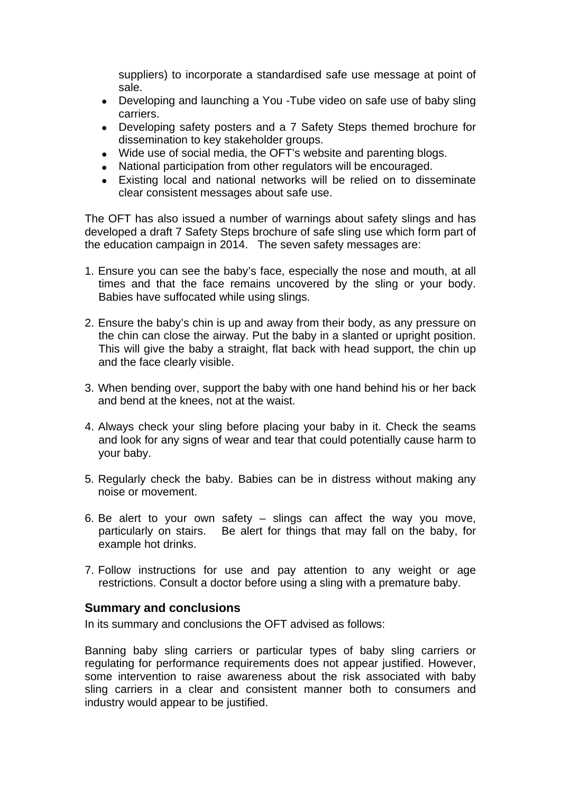suppliers) to incorporate a standardised safe use message at point of sale.

- Developing and launching a You -Tube video on safe use of baby sling carriers.
- Developing safety posters and a 7 Safety Steps themed brochure for dissemination to key stakeholder groups.
- Wide use of social media, the OFT's website and parenting blogs.
- National participation from other regulators will be encouraged.
- Existing local and national networks will be relied on to disseminate clear consistent messages about safe use.

The OFT has also issued a number of warnings about safety slings and has developed a draft 7 Safety Steps brochure of safe sling use which form part of the education campaign in 2014. The seven safety messages are:

- 1. Ensure you can see the baby's face, especially the nose and mouth, at all times and that the face remains uncovered by the sling or your body. Babies have suffocated while using slings.
- 2. Ensure the baby's chin is up and away from their body, as any pressure on the chin can close the airway. Put the baby in a slanted or upright position. This will give the baby a straight, flat back with head support, the chin up and the face clearly visible.
- 3. When bending over, support the baby with one hand behind his or her back and bend at the knees, not at the waist.
- 4. Always check your sling before placing your baby in it. Check the seams and look for any signs of wear and tear that could potentially cause harm to your baby.
- 5. Regularly check the baby. Babies can be in distress without making any noise or movement.
- 6. Be alert to your own safety  $-$  slings can affect the way you move, particularly on stairs. Be alert for things that may fall on the baby, for example hot drinks.
- 7. Follow instructions for use and pay attention to any weight or age restrictions. Consult a doctor before using a sling with a premature baby.

#### **Summary and conclusions**

In its summary and conclusions the OFT advised as follows:

Banning baby sling carriers or particular types of baby sling carriers or regulating for performance requirements does not appear justified. However, some intervention to raise awareness about the risk associated with baby sling carriers in a clear and consistent manner both to consumers and industry would appear to be justified.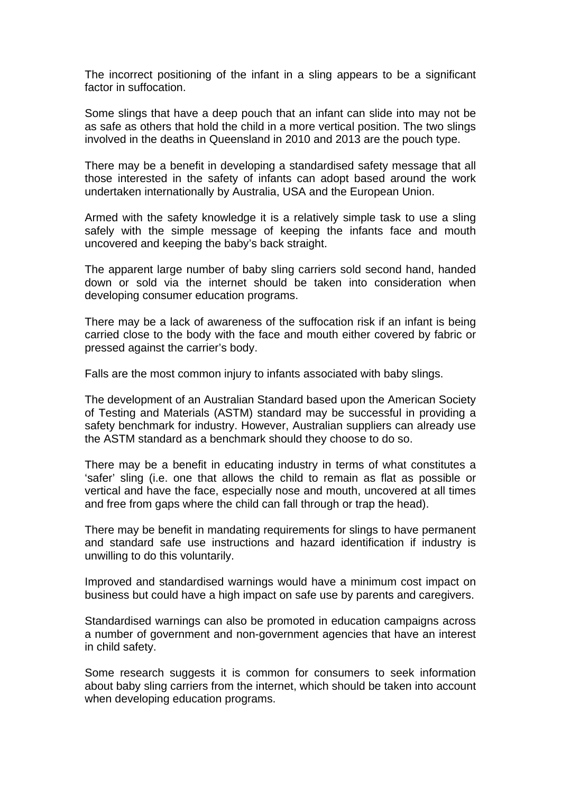The incorrect positioning of the infant in a sling appears to be a significant factor in suffocation.

Some slings that have a deep pouch that an infant can slide into may not be as safe as others that hold the child in a more vertical position. The two slings involved in the deaths in Queensland in 2010 and 2013 are the pouch type.

There may be a benefit in developing a standardised safety message that all those interested in the safety of infants can adopt based around the work undertaken internationally by Australia, USA and the European Union.

Armed with the safety knowledge it is a relatively simple task to use a sling safely with the simple message of keeping the infants face and mouth uncovered and keeping the baby's back straight.

The apparent large number of baby sling carriers sold second hand, handed down or sold via the internet should be taken into consideration when developing consumer education programs.

There may be a lack of awareness of the suffocation risk if an infant is being carried close to the body with the face and mouth either covered by fabric or pressed against the carrier's body.

Falls are the most common injury to infants associated with baby slings.

The development of an Australian Standard based upon the American Society of Testing and Materials (ASTM) standard may be successful in providing a safety benchmark for industry. However, Australian suppliers can already use the ASTM standard as a benchmark should they choose to do so.

There may be a benefit in educating industry in terms of what constitutes a 'safer' sling (i.e. one that allows the child to remain as flat as possible or vertical and have the face, especially nose and mouth, uncovered at all times and free from gaps where the child can fall through or trap the head).

There may be benefit in mandating requirements for slings to have permanent and standard safe use instructions and hazard identification if industry is unwilling to do this voluntarily.

Improved and standardised warnings would have a minimum cost impact on business but could have a high impact on safe use by parents and caregivers.

Standardised warnings can also be promoted in education campaigns across a number of government and non-government agencies that have an interest in child safety.

Some research suggests it is common for consumers to seek information about baby sling carriers from the internet, which should be taken into account when developing education programs.